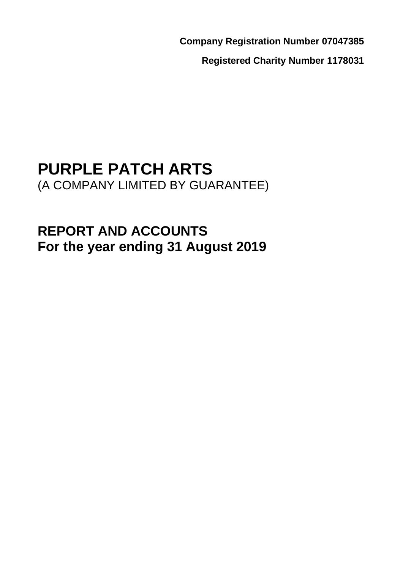**Company Registration Number 07047385**

**Registered Charity Number 1178031**

# **PURPLE PATCH ARTS** (A COMPANY LIMITED BY GUARANTEE)

# **REPORT AND ACCOUNTS For the year ending 31 August 2019**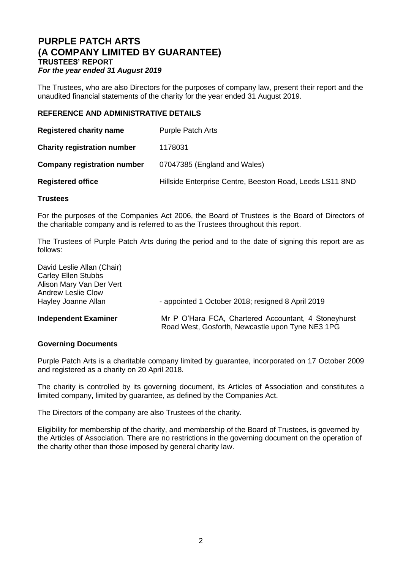The Trustees, who are also Directors for the purposes of company law, present their report and the unaudited financial statements of the charity for the year ended 31 August 2019.

## **REFERENCE AND ADMINISTRATIVE DETAILS**

| <b>Registered charity name</b>     | <b>Purple Patch Arts</b>                                 |
|------------------------------------|----------------------------------------------------------|
| <b>Charity registration number</b> | 1178031                                                  |
| <b>Company registration number</b> | 07047385 (England and Wales)                             |
| <b>Registered office</b>           | Hillside Enterprise Centre, Beeston Road, Leeds LS11 8ND |
|                                    |                                                          |

## **Trustees**

For the purposes of the Companies Act 2006, the Board of Trustees is the Board of Directors of the charitable company and is referred to as the Trustees throughout this report.

The Trustees of Purple Patch Arts during the period and to the date of signing this report are as follows:

| <b>Independent Examiner</b>                                                                                                              | Mr P O'Hara FCA, Chartered Accountant, 4 Stoneyhurst<br>Road West, Gosforth, Newcastle upon Tyne NE3 1PG |
|------------------------------------------------------------------------------------------------------------------------------------------|----------------------------------------------------------------------------------------------------------|
| David Leslie Allan (Chair)<br><b>Carley Ellen Stubbs</b><br>Alison Mary Van Der Vert<br><b>Andrew Leslie Clow</b><br>Hayley Joanne Allan | - appointed 1 October 2018; resigned 8 April 2019                                                        |

## **Governing Documents**

Purple Patch Arts is a charitable company limited by guarantee, incorporated on 17 October 2009 and registered as a charity on 20 April 2018.

The charity is controlled by its governing document, its Articles of Association and constitutes a limited company, limited by guarantee, as defined by the Companies Act.

The Directors of the company are also Trustees of the charity.

Eligibility for membership of the charity, and membership of the Board of Trustees, is governed by the Articles of Association. There are no restrictions in the governing document on the operation of the charity other than those imposed by general charity law.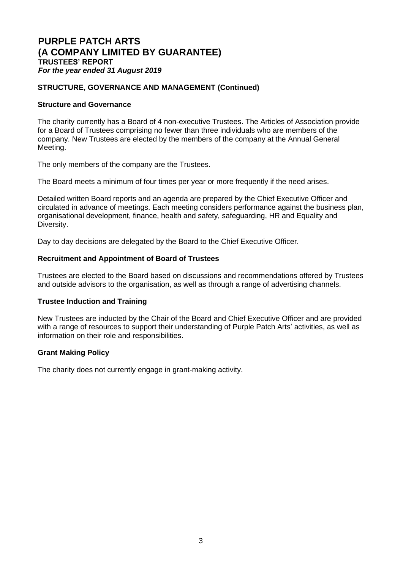## **STRUCTURE, GOVERNANCE AND MANAGEMENT (Continued)**

## **Structure and Governance**

The charity currently has a Board of 4 non-executive Trustees. The Articles of Association provide for a Board of Trustees comprising no fewer than three individuals who are members of the company. New Trustees are elected by the members of the company at the Annual General Meeting.

The only members of the company are the Trustees.

The Board meets a minimum of four times per year or more frequently if the need arises.

Detailed written Board reports and an agenda are prepared by the Chief Executive Officer and circulated in advance of meetings. Each meeting considers performance against the business plan, organisational development, finance, health and safety, safeguarding, HR and Equality and Diversity.

Day to day decisions are delegated by the Board to the Chief Executive Officer.

## **Recruitment and Appointment of Board of Trustees**

Trustees are elected to the Board based on discussions and recommendations offered by Trustees and outside advisors to the organisation, as well as through a range of advertising channels.

## **Trustee Induction and Training**

New Trustees are inducted by the Chair of the Board and Chief Executive Officer and are provided with a range of resources to support their understanding of Purple Patch Arts' activities, as well as information on their role and responsibilities.

## **Grant Making Policy**

The charity does not currently engage in grant-making activity.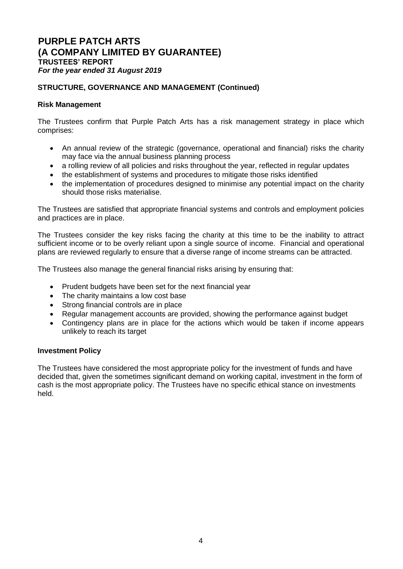## **STRUCTURE, GOVERNANCE AND MANAGEMENT (Continued)**

## **Risk Management**

The Trustees confirm that Purple Patch Arts has a risk management strategy in place which comprises:

- An annual review of the strategic (governance, operational and financial) risks the charity may face via the annual business planning process
- a rolling review of all policies and risks throughout the year, reflected in regular updates
- the establishment of systems and procedures to mitigate those risks identified
- the implementation of procedures designed to minimise any potential impact on the charity should those risks materialise.

The Trustees are satisfied that appropriate financial systems and controls and employment policies and practices are in place.

The Trustees consider the key risks facing the charity at this time to be the inability to attract sufficient income or to be overly reliant upon a single source of income. Financial and operational plans are reviewed regularly to ensure that a diverse range of income streams can be attracted.

The Trustees also manage the general financial risks arising by ensuring that:

- Prudent budgets have been set for the next financial year
- The charity maintains a low cost base
- Strong financial controls are in place
- Regular management accounts are provided, showing the performance against budget
- Contingency plans are in place for the actions which would be taken if income appears unlikely to reach its target

## **Investment Policy**

The Trustees have considered the most appropriate policy for the investment of funds and have decided that, given the sometimes significant demand on working capital, investment in the form of cash is the most appropriate policy. The Trustees have no specific ethical stance on investments held.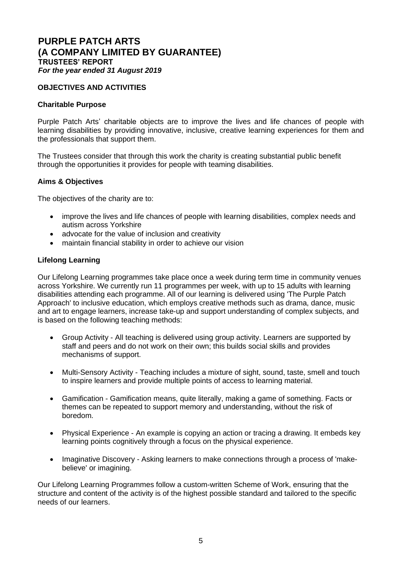## **OBJECTIVES AND ACTIVITIES**

## **Charitable Purpose**

Purple Patch Arts' charitable objects are to improve the lives and life chances of people with learning disabilities by providing innovative, inclusive, creative learning experiences for them and the professionals that support them.

The Trustees consider that through this work the charity is creating substantial public benefit through the opportunities it provides for people with teaming disabilities.

## **Aims & Objectives**

The objectives of the charity are to:

- improve the lives and life chances of people with learning disabilities, complex needs and autism across Yorkshire
- advocate for the value of inclusion and creativity
- maintain financial stability in order to achieve our vision

## **Lifelong Learning**

Our Lifelong Learning programmes take place once a week during term time in community venues across Yorkshire. We currently run 11 programmes per week, with up to 15 adults with learning disabilities attending each programme. All of our learning is delivered using 'The Purple Patch Approach' to inclusive education, which employs creative methods such as drama, dance, music and art to engage learners, increase take-up and support understanding of complex subjects, and is based on the following teaching methods:

- Group Activity All teaching is delivered using group activity. Learners are supported by staff and peers and do not work on their own; this builds social skills and provides mechanisms of support.
- Multi-Sensory Activity Teaching includes a mixture of sight, sound, taste, smell and touch to inspire learners and provide multiple points of access to learning material.
- Gamification Gamification means, quite literally, making a game of something. Facts or themes can be repeated to support memory and understanding, without the risk of boredom.
- Physical Experience An example is copying an action or tracing a drawing. It embeds key learning points cognitively through a focus on the physical experience.
- Imaginative Discovery Asking learners to make connections through a process of 'makebelieve' or imagining.

Our Lifelong Learning Programmes follow a custom-written Scheme of Work, ensuring that the structure and content of the activity is of the highest possible standard and tailored to the specific needs of our learners.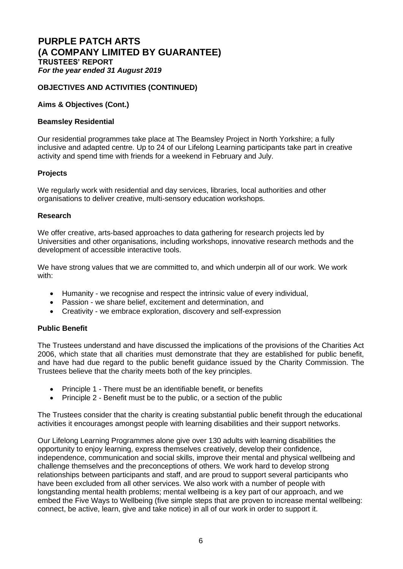## **OBJECTIVES AND ACTIVITIES (CONTINUED)**

## **Aims & Objectives (Cont.)**

## **Beamsley Residential**

Our residential programmes take place at The Beamsley Project in North Yorkshire; a fully inclusive and adapted centre. Up to 24 of our Lifelong Learning participants take part in creative activity and spend time with friends for a weekend in February and July.

## **Projects**

We regularly work with residential and day services, libraries, local authorities and other organisations to deliver creative, multi-sensory education workshops.

## **Research**

We offer creative, arts-based approaches to data gathering for research projects led by Universities and other organisations, including workshops, innovative research methods and the development of accessible interactive tools.

We have strong values that we are committed to, and which underpin all of our work. We work with:

- Humanity we recognise and respect the intrinsic value of every individual,
- Passion we share belief, excitement and determination, and
- Creativity we embrace exploration, discovery and self-expression

## **Public Benefit**

The Trustees understand and have discussed the implications of the provisions of the Charities Act 2006, which state that all charities must demonstrate that they are established for public benefit, and have had due regard to the public benefit guidance issued by the Charity Commission. The Trustees believe that the charity meets both of the key principles.

- Principle 1 There must be an identifiable benefit, or benefits
- Principle 2 Benefit must be to the public, or a section of the public

The Trustees consider that the charity is creating substantial public benefit through the educational activities it encourages amongst people with learning disabilities and their support networks.

Our Lifelong Learning Programmes alone give over 130 adults with learning disabilities the opportunity to enjoy learning, express themselves creatively, develop their confidence, independence, communication and social skills, improve their mental and physical wellbeing and challenge themselves and the preconceptions of others. We work hard to develop strong relationships between participants and staff, and are proud to support several participants who have been excluded from all other services. We also work with a number of people with longstanding mental health problems; mental wellbeing is a key part of our approach, and we embed the Five Ways to Wellbeing (five simple steps that are proven to increase mental wellbeing: connect, be active, learn, give and take notice) in all of our work in order to support it.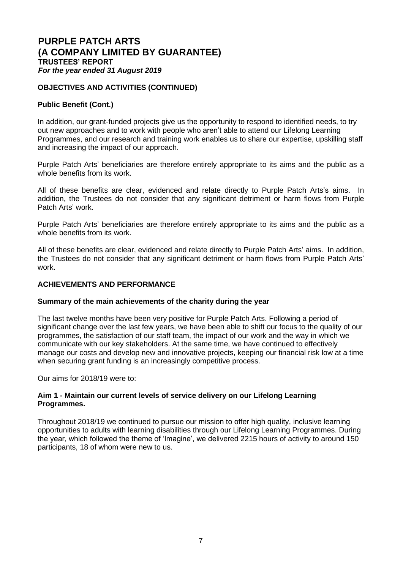## **OBJECTIVES AND ACTIVITIES (CONTINUED)**

## **Public Benefit (Cont.)**

In addition, our grant-funded projects give us the opportunity to respond to identified needs, to try out new approaches and to work with people who aren't able to attend our Lifelong Learning Programmes, and our research and training work enables us to share our expertise, upskilling staff and increasing the impact of our approach.

Purple Patch Arts' beneficiaries are therefore entirely appropriate to its aims and the public as a whole benefits from its work.

All of these benefits are clear, evidenced and relate directly to Purple Patch Arts's aims. In addition, the Trustees do not consider that any significant detriment or harm flows from Purple Patch Arts' work.

Purple Patch Arts' beneficiaries are therefore entirely appropriate to its aims and the public as a whole benefits from its work.

All of these benefits are clear, evidenced and relate directly to Purple Patch Arts' aims. In addition, the Trustees do not consider that any significant detriment or harm flows from Purple Patch Arts' work.

## **ACHIEVEMENTS AND PERFORMANCE**

#### **Summary of the main achievements of the charity during the year**

The last twelve months have been very positive for Purple Patch Arts. Following a period of significant change over the last few years, we have been able to shift our focus to the quality of our programmes, the satisfaction of our staff team, the impact of our work and the way in which we communicate with our key stakeholders. At the same time, we have continued to effectively manage our costs and develop new and innovative projects, keeping our financial risk low at a time when securing grant funding is an increasingly competitive process.

Our aims for 2018/19 were to:

## **Aim 1 - Maintain our current levels of service delivery on our Lifelong Learning Programmes.**

Throughout 2018/19 we continued to pursue our mission to offer high quality, inclusive learning opportunities to adults with learning disabilities through our Lifelong Learning Programmes. During the year, which followed the theme of 'Imagine', we delivered 2215 hours of activity to around 150 participants, 18 of whom were new to us.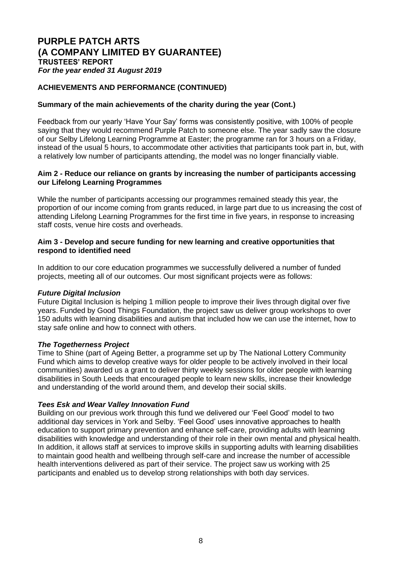## **ACHIEVEMENTS AND PERFORMANCE (CONTINUED)**

## **Summary of the main achievements of the charity during the year (Cont.)**

Feedback from our yearly 'Have Your Say' forms was consistently positive, with 100% of people saying that they would recommend Purple Patch to someone else. The year sadly saw the closure of our Selby Lifelong Learning Programme at Easter; the programme ran for 3 hours on a Friday, instead of the usual 5 hours, to accommodate other activities that participants took part in, but, with a relatively low number of participants attending, the model was no longer financially viable.

## **Aim 2 - Reduce our reliance on grants by increasing the number of participants accessing our Lifelong Learning Programmes**

While the number of participants accessing our programmes remained steady this year, the proportion of our income coming from grants reduced, in large part due to us increasing the cost of attending Lifelong Learning Programmes for the first time in five years, in response to increasing staff costs, venue hire costs and overheads.

## **Aim 3 - Develop and secure funding for new learning and creative opportunities that respond to identified need**

In addition to our core education programmes we successfully delivered a number of funded projects, meeting all of our outcomes. Our most significant projects were as follows:

## *Future Digital Inclusion*

Future Digital Inclusion is helping 1 million people to improve their lives through digital over five years. Funded by Good Things Foundation, the project saw us deliver group workshops to over 150 adults with learning disabilities and autism that included how we can use the internet, how to stay safe online and how to connect with others.

#### *The Togetherness Project*

Time to Shine (part of [Ageing Better,](https://www.tnlcommunityfund.org.uk/funding/strategic-investments/ageing-better) a programme set up by [The National Lottery Community](https://www.tnlcommunityfund.org.uk/)  [Fund](https://www.tnlcommunityfund.org.uk/) which aims to develop creative ways for older people to be actively involved in their local communities) awarded us a grant to deliver thirty weekly sessions for older people with learning disabilities in South Leeds that encouraged people to learn new skills, increase their knowledge and understanding of the world around them, and develop their social skills.

## *Tees Esk and Wear Valley Innovation Fund*

Building on our previous work through this fund we delivered our 'Feel Good' model to two additional day services in York and Selby. 'Feel Good' uses innovative approaches to health education to support primary prevention and enhance self-care, providing adults with learning disabilities with knowledge and understanding of their role in their own mental and physical health. In addition, it allows staff at services to improve skills in supporting adults with learning disabilities to maintain good health and wellbeing through self-care and increase the number of accessible health interventions delivered as part of their service. The project saw us working with 25 participants and enabled us to develop strong relationships with both day services.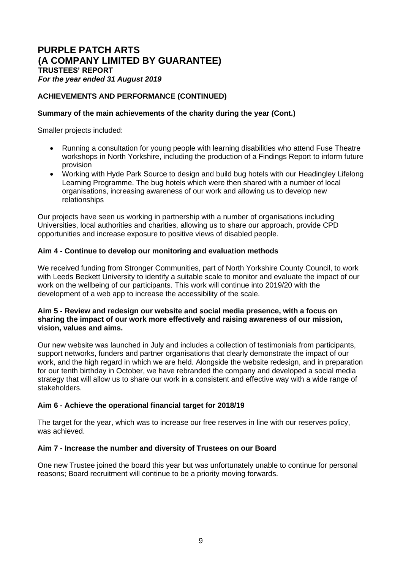## **ACHIEVEMENTS AND PERFORMANCE (CONTINUED)**

## **Summary of the main achievements of the charity during the year (Cont.)**

Smaller projects included:

- Running a consultation for young people with learning disabilities who attend Fuse Theatre workshops in North Yorkshire, including the production of a Findings Report to inform future provision
- Working with Hyde Park Source to design and build bug hotels with our Headingley Lifelong Learning Programme. The bug hotels which were then shared with a number of local organisations, increasing awareness of our work and allowing us to develop new relationships

Our projects have seen us working in partnership with a number of organisations including Universities, local authorities and charities, allowing us to share our approach, provide CPD opportunities and increase exposure to positive views of disabled people.

## **Aim 4 - Continue to develop our monitoring and evaluation methods**

We received funding from Stronger Communities, part of North Yorkshire County Council, to work with Leeds Beckett University to identify a suitable scale to monitor and evaluate the impact of our work on the wellbeing of our participants. This work will continue into 2019/20 with the development of a web app to increase the accessibility of the scale.

#### **Aim 5 - Review and redesign our website and social media presence, with a focus on sharing the impact of our work more effectively and raising awareness of our mission, vision, values and aims.**

Our new website was launched in July and includes a collection of testimonials from participants, support networks, funders and partner organisations that clearly demonstrate the impact of our work, and the high regard in which we are held. Alongside the website redesign, and in preparation for our tenth birthday in October, we have rebranded the company and developed a social media strategy that will allow us to share our work in a consistent and effective way with a wide range of stakeholders.

## **Aim 6 - Achieve the operational financial target for 2018/19**

The target for the year, which was to increase our free reserves in line with our reserves policy, was achieved.

## **Aim 7 - Increase the number and diversity of Trustees on our Board**

One new Trustee joined the board this year but was unfortunately unable to continue for personal reasons; Board recruitment will continue to be a priority moving forwards.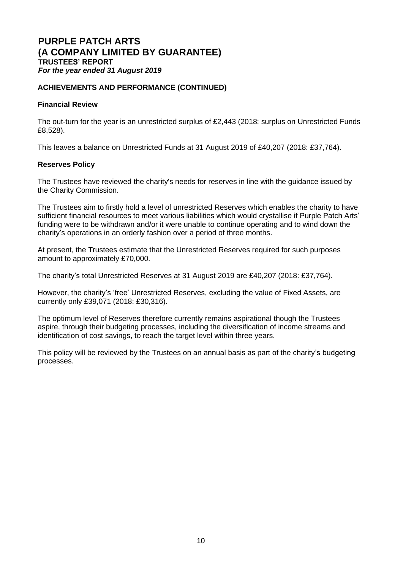## **ACHIEVEMENTS AND PERFORMANCE (CONTINUED)**

## **Financial Review**

The out-turn for the year is an unrestricted surplus of £2,443 (2018: surplus on Unrestricted Funds £8,528).

This leaves a balance on Unrestricted Funds at 31 August 2019 of £40,207 (2018: £37,764).

## **Reserves Policy**

The Trustees have reviewed the charity's needs for reserves in line with the guidance issued by the Charity Commission.

The Trustees aim to firstly hold a level of unrestricted Reserves which enables the charity to have sufficient financial resources to meet various liabilities which would crystallise if Purple Patch Arts' funding were to be withdrawn and/or it were unable to continue operating and to wind down the charity's operations in an orderly fashion over a period of three months.

At present, the Trustees estimate that the Unrestricted Reserves required for such purposes amount to approximately £70,000.

The charity's total Unrestricted Reserves at 31 August 2019 are £40,207 (2018: £37,764).

However, the charity's 'free' Unrestricted Reserves, excluding the value of Fixed Assets, are currently only £39,071 (2018: £30,316).

The optimum level of Reserves therefore currently remains aspirational though the Trustees aspire, through their budgeting processes, including the diversification of income streams and identification of cost savings, to reach the target level within three years.

This policy will be reviewed by the Trustees on an annual basis as part of the charity's budgeting processes.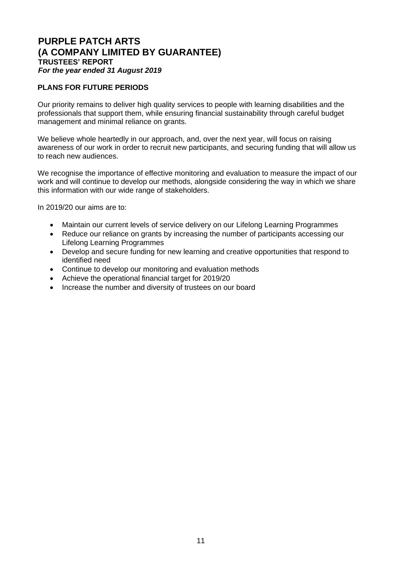## **PLANS FOR FUTURE PERIODS**

Our priority remains to deliver high quality services to people with learning disabilities and the professionals that support them, while ensuring financial sustainability through careful budget management and minimal reliance on grants.

We believe whole heartedly in our approach, and, over the next year, will focus on raising awareness of our work in order to recruit new participants, and securing funding that will allow us to reach new audiences.

We recognise the importance of effective monitoring and evaluation to measure the impact of our work and will continue to develop our methods, alongside considering the way in which we share this information with our wide range of stakeholders.

In 2019/20 our aims are to:

- Maintain our current levels of service delivery on our Lifelong Learning Programmes
- Reduce our reliance on grants by increasing the number of participants accessing our Lifelong Learning Programmes
- Develop and secure funding for new learning and creative opportunities that respond to identified need
- Continue to develop our monitoring and evaluation methods
- Achieve the operational financial target for 2019/20
- Increase the number and diversity of trustees on our board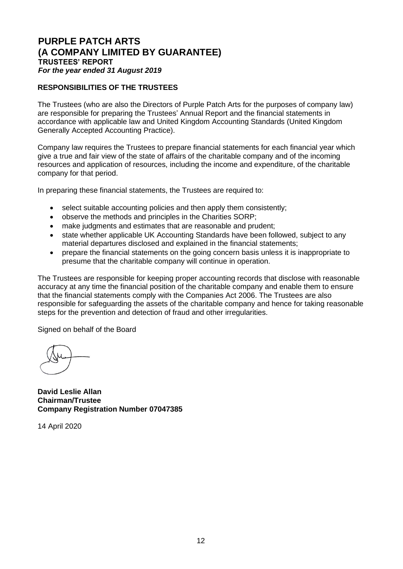## **RESPONSIBILITIES OF THE TRUSTEES**

The Trustees (who are also the Directors of Purple Patch Arts for the purposes of company law) are responsible for preparing the Trustees' Annual Report and the financial statements in accordance with applicable law and United Kingdom Accounting Standards (United Kingdom Generally Accepted Accounting Practice).

Company law requires the Trustees to prepare financial statements for each financial year which give a true and fair view of the state of affairs of the charitable company and of the incoming resources and application of resources, including the income and expenditure, of the charitable company for that period.

In preparing these financial statements, the Trustees are required to:

- select suitable accounting policies and then apply them consistently;
- observe the methods and principles in the Charities SORP;
- make judgments and estimates that are reasonable and prudent;
- state whether applicable UK Accounting Standards have been followed, subject to any material departures disclosed and explained in the financial statements;
- prepare the financial statements on the going concern basis unless it is inappropriate to presume that the charitable company will continue in operation.

The Trustees are responsible for keeping proper accounting records that disclose with reasonable accuracy at any time the financial position of the charitable company and enable them to ensure that the financial statements comply with the Companies Act 2006. The Trustees are also responsible for safeguarding the assets of the charitable company and hence for taking reasonable steps for the prevention and detection of fraud and other irregularities.

Signed on behalf of the Board

**David Leslie Allan Chairman/Trustee Company Registration Number 07047385**

14 April 2020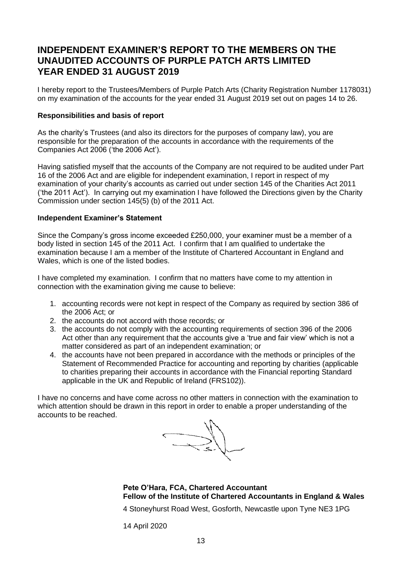# **INDEPENDENT EXAMINER'S REPORT TO THE MEMBERS ON THE UNAUDITED ACCOUNTS OF PURPLE PATCH ARTS LIMITED YEAR ENDED 31 AUGUST 2019**

I hereby report to the Trustees/Members of Purple Patch Arts (Charity Registration Number 1178031) on my examination of the accounts for the year ended 31 August 2019 set out on pages 14 to 26.

## **Responsibilities and basis of report**

As the charity's Trustees (and also its directors for the purposes of company law), you are responsible for the preparation of the accounts in accordance with the requirements of the Companies Act 2006 ('the 2006 Act').

Having satisfied myself that the accounts of the Company are not required to be audited under Part 16 of the 2006 Act and are eligible for independent examination, I report in respect of my examination of your charity's accounts as carried out under section 145 of the Charities Act 2011 ('the 2011 Act'). In carrying out my examination I have followed the Directions given by the Charity Commission under section 145(5) (b) of the 2011 Act.

## **Independent Examiner's Statement**

Since the Company's gross income exceeded £250,000, your examiner must be a member of a body listed in section 145 of the 2011 Act. I confirm that I am qualified to undertake the examination because I am a member of the Institute of Chartered Accountant in England and Wales, which is one of the listed bodies.

I have completed my examination. I confirm that no matters have come to my attention in connection with the examination giving me cause to believe:

- 1. accounting records were not kept in respect of the Company as required by section 386 of the 2006 Act; or
- 2. the accounts do not accord with those records; or
- 3. the accounts do not comply with the accounting requirements of section 396 of the 2006 Act other than any requirement that the accounts give a 'true and fair view' which is not a matter considered as part of an independent examination; or
- 4. the accounts have not been prepared in accordance with the methods or principles of the Statement of Recommended Practice for accounting and reporting by charities (applicable to charities preparing their accounts in accordance with the Financial reporting Standard applicable in the UK and Republic of Ireland (FRS102)).

I have no concerns and have come across no other matters in connection with the examination to which attention should be drawn in this report in order to enable a proper understanding of the accounts to be reached.

 $\bigcup_{k=1}^{\infty}$ 

**Pete O'Hara, FCA, Chartered Accountant Fellow of the Institute of Chartered Accountants in England & Wales**

4 Stoneyhurst Road West, Gosforth, Newcastle upon Tyne NE3 1PG

14 April 2020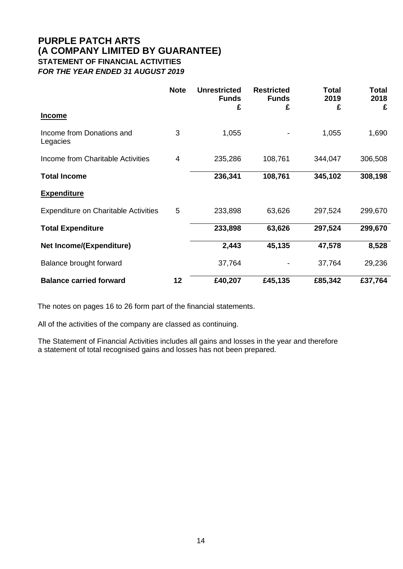# **PURPLE PATCH ARTS (A COMPANY LIMITED BY GUARANTEE) STATEMENT OF FINANCIAL ACTIVITIES** *FOR THE YEAR ENDED 31 AUGUST 2019*

|                                             | <b>Note</b> | <b>Unrestricted</b><br><b>Funds</b><br>£ | <b>Restricted</b><br><b>Funds</b><br>£ | <b>Total</b><br>2019<br>£ | <b>Total</b><br>2018<br>£ |
|---------------------------------------------|-------------|------------------------------------------|----------------------------------------|---------------------------|---------------------------|
| <b>Income</b>                               |             |                                          |                                        |                           |                           |
| Income from Donations and<br>Legacies       | 3           | 1,055                                    |                                        | 1,055                     | 1,690                     |
| Income from Charitable Activities           | 4           | 235,286                                  | 108,761                                | 344,047                   | 306,508                   |
| <b>Total Income</b>                         |             | 236,341                                  | 108,761                                | 345,102                   | 308,198                   |
| <b>Expenditure</b>                          |             |                                          |                                        |                           |                           |
| <b>Expenditure on Charitable Activities</b> | 5           | 233,898                                  | 63,626                                 | 297,524                   | 299,670                   |
| <b>Total Expenditure</b>                    |             | 233,898                                  | 63,626                                 | 297,524                   | 299,670                   |
| <b>Net Income/(Expenditure)</b>             |             | 2,443                                    | 45,135                                 | 47,578                    | 8,528                     |
| Balance brought forward                     |             | 37,764                                   |                                        | 37,764                    | 29,236                    |
| <b>Balance carried forward</b>              | 12          | £40,207                                  | £45,135                                | £85,342                   | £37,764                   |

The notes on pages 16 to 26 form part of the financial statements.

All of the activities of the company are classed as continuing.

The Statement of Financial Activities includes all gains and losses in the year and therefore a statement of total recognised gains and losses has not been prepared.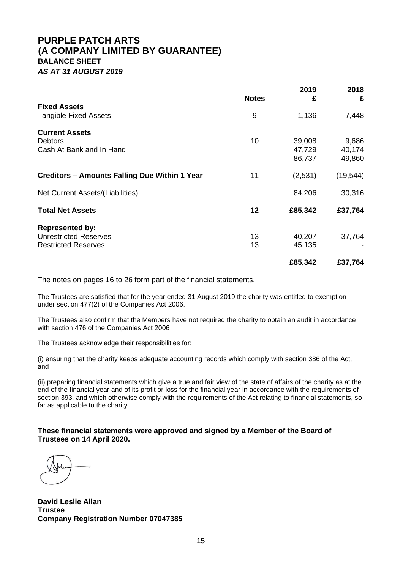# **PURPLE PATCH ARTS (A COMPANY LIMITED BY GUARANTEE) BALANCE SHEET** *AS AT 31 AUGUST 2019*

|                                                     | <b>Notes</b> | 2019<br>£ | 2018<br>£ |
|-----------------------------------------------------|--------------|-----------|-----------|
| <b>Fixed Assets</b><br><b>Tangible Fixed Assets</b> | 9            | 1,136     | 7,448     |
| <b>Current Assets</b><br>Debtors                    | 10           | 39,008    | 9,686     |
| Cash At Bank and In Hand                            |              | 47,729    | 40,174    |
|                                                     |              | 86,737    | 49,860    |
| Creditors - Amounts Falling Due Within 1 Year       | 11           | (2,531)   | (19, 544) |
| Net Current Assets/(Liabilities)                    |              | 84,206    | 30,316    |
| <b>Total Net Assets</b>                             | 12           | £85,342   | £37,764   |
| <b>Represented by:</b>                              |              |           |           |
| <b>Unrestricted Reserves</b>                        | 13           | 40,207    | 37,764    |
| <b>Restricted Reserves</b>                          | 13           | 45,135    |           |
|                                                     |              | £85,342   | £37,764   |

The notes on pages 16 to 26 form part of the financial statements.

The Trustees are satisfied that for the year ended 31 August 2019 the charity was entitled to exemption under section 477(2) of the Companies Act 2006.

The Trustees also confirm that the Members have not required the charity to obtain an audit in accordance with section 476 of the Companies Act 2006

The Trustees acknowledge their responsibilities for:

(i) ensuring that the charity keeps adequate accounting records which comply with section 386 of the Act, and

(ii) preparing financial statements which give a true and fair view of the state of affairs of the charity as at the end of the financial year and of its profit or loss for the financial year in accordance with the requirements of section 393, and which otherwise comply with the requirements of the Act relating to financial statements, so far as applicable to the charity.

**These financial statements were approved and signed by a Member of the Board of Trustees on 14 April 2020.**

**David Leslie Allan Trustee Company Registration Number 07047385**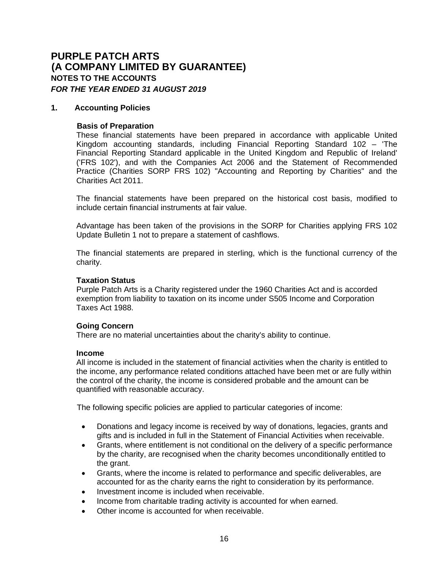#### **1. Accounting Policies**

## **Basis of Preparation**

These financial statements have been prepared in accordance with applicable United Kingdom accounting standards, including Financial Reporting Standard 102 – 'The Financial Reporting Standard applicable in the United Kingdom and Republic of Ireland' ('FRS 102'), and with the Companies Act 2006 and the Statement of Recommended Practice (Charities SORP FRS 102) "Accounting and Reporting by Charities" and the Charities Act 2011.

The financial statements have been prepared on the historical cost basis, modified to include certain financial instruments at fair value.

Advantage has been taken of the provisions in the SORP for Charities applying FRS 102 Update Bulletin 1 not to prepare a statement of cashflows.

The financial statements are prepared in sterling, which is the functional currency of the charity.

#### **Taxation Status**

Purple Patch Arts is a Charity registered under the 1960 Charities Act and is accorded exemption from liability to taxation on its income under S505 Income and Corporation Taxes Act 1988.

#### **Going Concern**

There are no material uncertainties about the charity's ability to continue.

#### **Income**

All income is included in the statement of financial activities when the charity is entitled to the income, any performance related conditions attached have been met or are fully within the control of the charity, the income is considered probable and the amount can be quantified with reasonable accuracy.

The following specific policies are applied to particular categories of income:

- Donations and legacy income is received by way of donations, legacies, grants and gifts and is included in full in the Statement of Financial Activities when receivable.
- Grants, where entitlement is not conditional on the delivery of a specific performance by the charity, are recognised when the charity becomes unconditionally entitled to the grant.
- Grants, where the income is related to performance and specific deliverables, are accounted for as the charity earns the right to consideration by its performance.
- Investment income is included when receivable.
- Income from charitable trading activity is accounted for when earned.
- Other income is accounted for when receivable.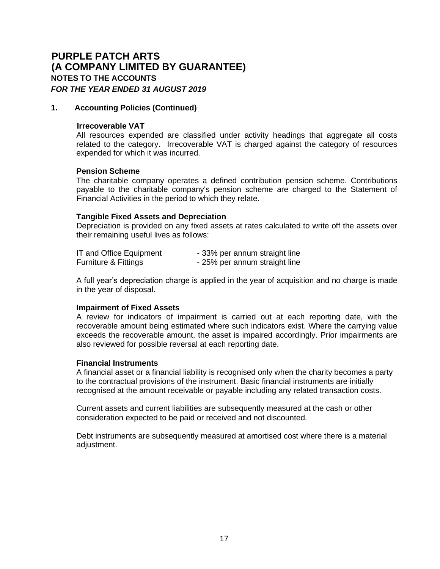## **1. Accounting Policies (Continued)**

#### **Irrecoverable VAT**

All resources expended are classified under activity headings that aggregate all costs related to the category. Irrecoverable VAT is charged against the category of resources expended for which it was incurred.

#### **Pension Scheme**

The charitable company operates a defined contribution pension scheme. Contributions payable to the charitable company's pension scheme are charged to the Statement of Financial Activities in the period to which they relate.

## **Tangible Fixed Assets and Depreciation**

Depreciation is provided on any fixed assets at rates calculated to write off the assets over their remaining useful lives as follows:

| IT and Office Equipment | - 33% per annum straight line |
|-------------------------|-------------------------------|
| Furniture & Fittings    | - 25% per annum straight line |

A full year's depreciation charge is applied in the year of acquisition and no charge is made in the year of disposal.

#### **Impairment of Fixed Assets**

A review for indicators of impairment is carried out at each reporting date, with the recoverable amount being estimated where such indicators exist. Where the carrying value exceeds the recoverable amount, the asset is impaired accordingly. Prior impairments are also reviewed for possible reversal at each reporting date.

#### **Financial Instruments**

A financial asset or a financial liability is recognised only when the charity becomes a party to the contractual provisions of the instrument. Basic financial instruments are initially recognised at the amount receivable or payable including any related transaction costs.

Current assets and current liabilities are subsequently measured at the cash or other consideration expected to be paid or received and not discounted.

Debt instruments are subsequently measured at amortised cost where there is a material adjustment.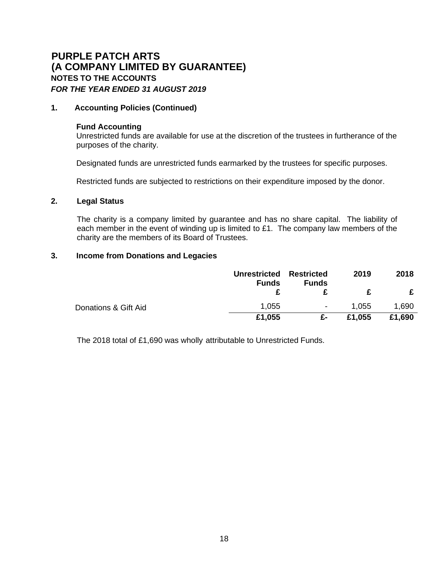## **1. Accounting Policies (Continued)**

#### **Fund Accounting**

Unrestricted funds are available for use at the discretion of the trustees in furtherance of the purposes of the charity.

Designated funds are unrestricted funds earmarked by the trustees for specific purposes.

Restricted funds are subjected to restrictions on their expenditure imposed by the donor.

## **2. Legal Status**

The charity is a company limited by guarantee and has no share capital. The liability of each member in the event of winding up is limited to £1. The company law members of the charity are the members of its Board of Trustees.

## **3. Income from Donations and Legacies**

|                      | Unrestricted Restricted<br><b>Funds</b> | <b>Funds</b> | 2019   | 2018   |
|----------------------|-----------------------------------------|--------------|--------|--------|
|                      |                                         |              |        |        |
| Donations & Gift Aid | 1,055                                   | ۰            | 1,055  | 1,690  |
|                      | £1,055                                  | £-           | £1,055 | £1,690 |

The 2018 total of £1,690 was wholly attributable to Unrestricted Funds.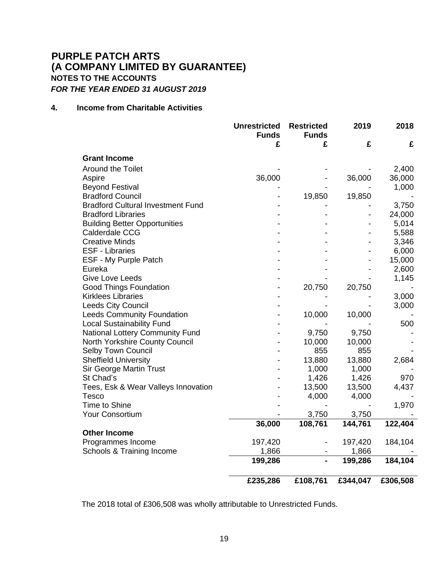## **4. Income from Charitable Activities**

|                                          | <b>Unrestricted</b><br><b>Funds</b> | <b>Restricted</b><br><b>Funds</b> | 2019     | 2018     |
|------------------------------------------|-------------------------------------|-----------------------------------|----------|----------|
|                                          | £                                   | £                                 | £        | £        |
| <b>Grant Income</b>                      |                                     |                                   |          |          |
| <b>Around the Toilet</b>                 |                                     |                                   |          | 2,400    |
| Aspire                                   | 36,000                              |                                   | 36,000   | 36,000   |
| <b>Beyond Festival</b>                   |                                     |                                   |          | 1,000    |
| <b>Bradford Council</b>                  |                                     | 19,850                            | 19,850   |          |
| <b>Bradford Cultural Investment Fund</b> |                                     |                                   |          | 3,750    |
| <b>Bradford Libraries</b>                |                                     |                                   |          | 24,000   |
| <b>Building Better Opportunities</b>     |                                     |                                   |          | 5,014    |
| Calderdale CCG                           |                                     |                                   |          | 5,588    |
| <b>Creative Minds</b>                    |                                     |                                   |          | 3,346    |
| <b>ESF - Libraries</b>                   |                                     |                                   |          | 6,000    |
| ESF - My Purple Patch                    |                                     |                                   |          | 15,000   |
| Eureka                                   |                                     |                                   |          | 2,600    |
| <b>Give Love Leeds</b>                   |                                     |                                   |          | 1,145    |
| <b>Good Things Foundation</b>            |                                     | 20,750                            | 20,750   |          |
| <b>Kirklees Libraries</b>                |                                     |                                   |          | 3,000    |
| <b>Leeds City Council</b>                |                                     |                                   |          | 3,000    |
| <b>Leeds Community Foundation</b>        |                                     | 10,000                            | 10,000   |          |
| <b>Local Sustainability Fund</b>         |                                     |                                   |          | 500      |
| National Lottery Community Fund          |                                     | 9,750                             | 9,750    |          |
| North Yorkshire County Council           |                                     | 10,000                            | 10,000   |          |
| Selby Town Council                       |                                     | 855                               | 855      |          |
| <b>Sheffield University</b>              |                                     | 13,880                            | 13,880   | 2,684    |
| <b>Sir George Martin Trust</b>           |                                     | 1,000                             | 1,000    |          |
| St Chad's                                |                                     | 1,426                             | 1,426    | 970      |
| Tees, Esk & Wear Valleys Innovation      |                                     | 13,500                            | 13,500   | 4,437    |
| <b>Tesco</b>                             |                                     | 4,000                             | 4,000    |          |
| <b>Time to Shine</b>                     |                                     |                                   |          | 1,970    |
| <b>Your Consortium</b>                   |                                     | 3,750                             | 3,750    |          |
|                                          | 36,000                              | 108,761                           | 144,761  | 122,404  |
| <b>Other Income</b>                      |                                     |                                   |          |          |
| Programmes Income                        | 197,420                             |                                   | 197,420  | 184,104  |
| Schools & Training Income                | 1,866                               |                                   | 1,866    |          |
|                                          | 199,286                             |                                   | 199,286  | 184,104  |
|                                          | £235,286                            | £108,761                          | £344,047 | £306,508 |

The 2018 total of £306,508 was wholly attributable to Unrestricted Funds.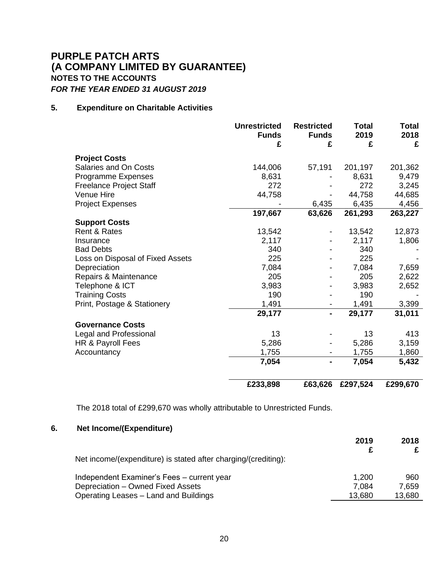## **5. Expenditure on Charitable Activities**

|                                  | <b>Unrestricted</b><br><b>Funds</b><br>£ | <b>Restricted</b><br><b>Funds</b><br>£ | <b>Total</b><br>2019<br>£ | <b>Total</b><br>2018<br>£ |
|----------------------------------|------------------------------------------|----------------------------------------|---------------------------|---------------------------|
| <b>Project Costs</b>             |                                          |                                        |                           |                           |
| Salaries and On Costs            | 144,006                                  | 57,191                                 | 201,197                   | 201,362                   |
| Programme Expenses               | 8,631                                    |                                        | 8,631                     | 9,479                     |
| <b>Freelance Project Staff</b>   | 272                                      |                                        | 272                       | 3,245                     |
| Venue Hire                       | 44,758                                   |                                        | 44,758                    | 44,685                    |
| <b>Project Expenses</b>          |                                          | 6,435                                  | 6,435                     | 4,456                     |
|                                  | 197,667                                  | 63,626                                 | 261,293                   | 263,227                   |
| <b>Support Costs</b>             |                                          |                                        |                           |                           |
| Rent & Rates                     | 13,542                                   |                                        | 13,542                    | 12,873                    |
| Insurance                        | 2,117                                    |                                        | 2,117                     | 1,806                     |
| <b>Bad Debts</b>                 | 340                                      |                                        | 340                       |                           |
| Loss on Disposal of Fixed Assets | 225                                      |                                        | 225                       |                           |
| Depreciation                     | 7,084                                    |                                        | 7,084                     | 7,659                     |
| Repairs & Maintenance            | 205                                      |                                        | 205                       | 2,622                     |
| Telephone & ICT                  | 3,983                                    |                                        | 3,983                     | 2,652                     |
| <b>Training Costs</b>            | 190                                      |                                        | 190                       |                           |
| Print, Postage & Stationery      | 1,491                                    |                                        | 1,491                     | 3,399                     |
|                                  | 29,177                                   | $\blacksquare$                         | 29,177                    | 31,011                    |
| <b>Governance Costs</b>          |                                          |                                        |                           |                           |
| Legal and Professional           | 13                                       |                                        | 13                        | 413                       |
| HR & Payroll Fees                | 5,286                                    |                                        | 5,286                     | 3,159                     |
| Accountancy                      | 1,755                                    |                                        | 1,755                     | 1,860                     |
|                                  | 7,054                                    | Ξ.                                     | 7,054                     | 5,432                     |
|                                  | £233,898                                 | £63,626                                | £297,524                  | £299,670                  |

The 2018 total of £299,670 was wholly attributable to Unrestricted Funds.

# **6. Net Income/(Expenditure)**

| Net income/(expenditure) is stated after charging/(crediting): | 2019   | 2018   |
|----------------------------------------------------------------|--------|--------|
| Independent Examiner's Fees - current year                     | 1,200  | 960    |
| Depreciation - Owned Fixed Assets                              | 7,084  | 7,659  |
| Operating Leases - Land and Buildings                          | 13,680 | 13,680 |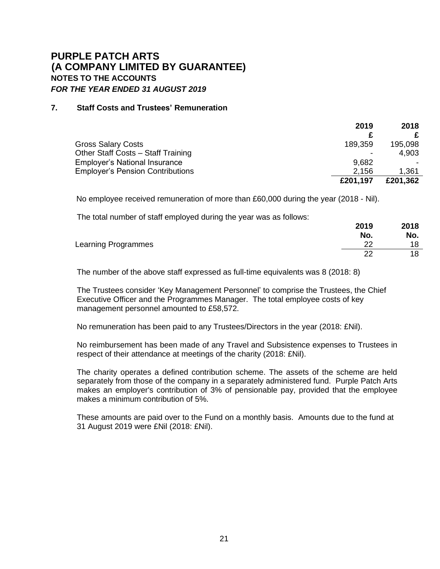## **7. Staff Costs and Trustees' Remuneration**

|                                         | 2019     | 2018     |
|-----------------------------------------|----------|----------|
|                                         |          |          |
| <b>Gross Salary Costs</b>               | 189,359  | 195,098  |
| Other Staff Costs - Staff Training      |          | 4,903    |
| <b>Employer's National Insurance</b>    | 9,682    |          |
| <b>Employer's Pension Contributions</b> | 2.156    | 1,361    |
|                                         | £201,197 | £201,362 |

No employee received remuneration of more than £60,000 during the year (2018 - Nil).

The total number of staff employed during the year was as follows:

|                     | 2019 | 2018 |
|---------------------|------|------|
|                     | No.  | No.  |
| Learning Programmes | ົ    | 18   |
|                     | ົດ   | 18   |

**2019**

**2018**

The number of the above staff expressed as full-time equivalents was 8 (2018: 8)

The Trustees consider 'Key Management Personnel' to comprise the Trustees, the Chief Executive Officer and the Programmes Manager. The total employee costs of key management personnel amounted to £58,572.

No remuneration has been paid to any Trustees/Directors in the year (2018: £Nil).

No reimbursement has been made of any Travel and Subsistence expenses to Trustees in respect of their attendance at meetings of the charity (2018: £Nil).

The charity operates a defined contribution scheme. The assets of the scheme are held separately from those of the company in a separately administered fund. Purple Patch Arts makes an employer's contribution of 3% of pensionable pay, provided that the employee makes a minimum contribution of 5%.

These amounts are paid over to the Fund on a monthly basis. Amounts due to the fund at 31 August 2019 were £Nil (2018: £Nil).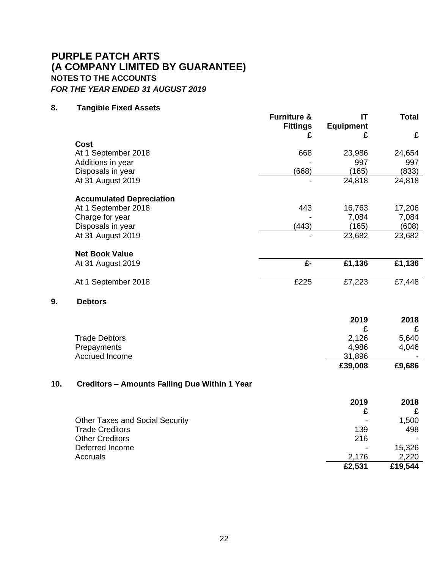## **8. Tangible Fixed Assets**

**9. Debtors**

|     |                                                      | <b>Furniture &amp;</b><br><b>Fittings</b> | IT<br><b>Equipment</b> | <b>Total</b> |
|-----|------------------------------------------------------|-------------------------------------------|------------------------|--------------|
|     |                                                      | £                                         | £                      | £            |
|     | Cost                                                 |                                           |                        |              |
|     | At 1 September 2018                                  | 668                                       | 23,986                 | 24,654       |
|     | Additions in year                                    |                                           | 997                    | 997          |
|     | Disposals in year                                    | (668)                                     | (165)                  | (833)        |
|     | At 31 August 2019                                    |                                           | 24,818                 | 24,818       |
|     | <b>Accumulated Depreciation</b>                      |                                           |                        |              |
|     | At 1 September 2018                                  | 443                                       | 16,763                 | 17,206       |
|     | Charge for year                                      |                                           | 7,084                  | 7,084        |
|     | Disposals in year                                    | (443)                                     | (165)                  | (608)        |
|     | At 31 August 2019                                    |                                           | 23,682                 | 23,682       |
|     | <b>Net Book Value</b>                                |                                           |                        |              |
|     | At 31 August 2019                                    | £-                                        | £1,136                 | £1,136       |
|     |                                                      |                                           |                        |              |
|     | At 1 September 2018                                  | £225                                      | £7,223                 | £7,448       |
| 9.  | <b>Debtors</b>                                       |                                           |                        |              |
|     |                                                      |                                           | 2019                   | 2018         |
|     |                                                      |                                           | £                      | £            |
|     | <b>Trade Debtors</b>                                 |                                           | 2,126                  | 5,640        |
|     | Prepayments                                          |                                           | 4,986                  | 4,046        |
|     | Accrued Income                                       |                                           | 31,896                 |              |
|     |                                                      |                                           | £39,008                | £9,686       |
| 10. | <b>Creditors - Amounts Falling Due Within 1 Year</b> |                                           |                        |              |
|     |                                                      |                                           | 2019                   | 2018         |
|     |                                                      |                                           | £                      | £            |
|     | <b>Other Taxes and Social Security</b>               |                                           |                        | 1,500        |
|     | <b>Trade Creditors</b>                               |                                           | 139                    | 498          |
|     | <b>Other Creditors</b>                               |                                           | 216                    |              |
|     | Deferred Income                                      |                                           |                        | 15,326       |
|     | Accruals                                             |                                           | 2,176                  | 2,220        |
|     |                                                      |                                           | £2,531                 | £19,544      |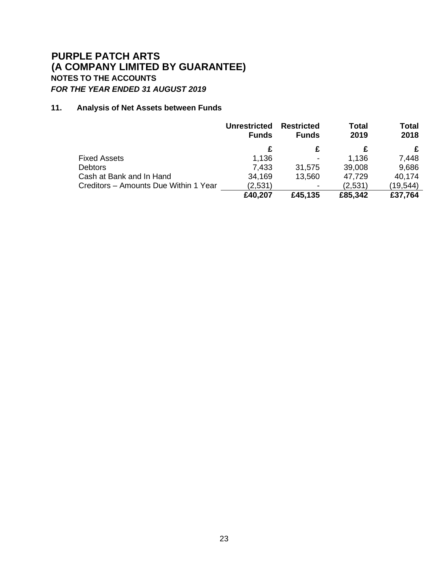## **11. Analysis of Net Assets between Funds**

|                                       | <b>Unrestricted</b><br><b>Funds</b> | <b>Restricted</b><br><b>Funds</b> | <b>Total</b><br>2019 | <b>Total</b><br>2018 |
|---------------------------------------|-------------------------------------|-----------------------------------|----------------------|----------------------|
|                                       | £                                   | £                                 |                      |                      |
| <b>Fixed Assets</b>                   | 1,136                               | $\overline{\phantom{a}}$          | 1,136                | 7,448                |
| <b>Debtors</b>                        | 7,433                               | 31,575                            | 39,008               | 9,686                |
| Cash at Bank and In Hand              | 34,169                              | 13,560                            | 47,729               | 40,174               |
| Creditors - Amounts Due Within 1 Year | (2,531)                             | $\overline{\phantom{a}}$          | (2,531)              | (19, 544)            |
|                                       | £40,207                             | £45,135                           | £85,342              | £37,764              |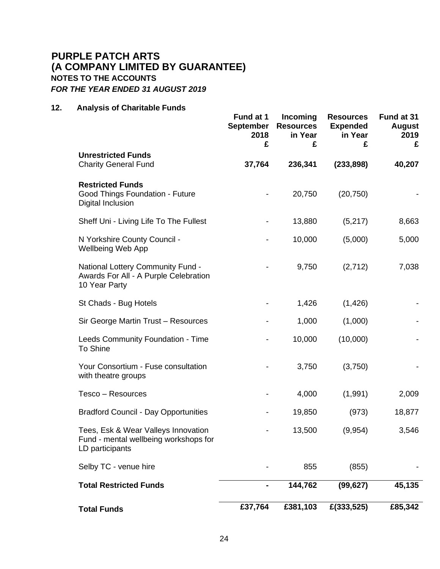## **12. Analysis of Charitable Funds**

|                                                                                                    | Fund at 1<br><b>September</b><br>2018<br>£ | Incoming<br><b>Resources</b><br>in Year<br>£ | <b>Resources</b><br><b>Expended</b><br>in Year<br>£ | Fund at 31<br><b>August</b><br>2019<br>£ |
|----------------------------------------------------------------------------------------------------|--------------------------------------------|----------------------------------------------|-----------------------------------------------------|------------------------------------------|
| <b>Unrestricted Funds</b><br><b>Charity General Fund</b>                                           | 37,764                                     | 236,341                                      | (233, 898)                                          | 40,207                                   |
| <b>Restricted Funds</b><br>Good Things Foundation - Future<br>Digital Inclusion                    |                                            | 20,750                                       | (20, 750)                                           |                                          |
| Sheff Uni - Living Life To The Fullest                                                             |                                            | 13,880                                       | (5,217)                                             | 8,663                                    |
| N Yorkshire County Council -<br><b>Wellbeing Web App</b>                                           |                                            | 10,000                                       | (5,000)                                             | 5,000                                    |
| <b>National Lottery Community Fund -</b><br>Awards For All - A Purple Celebration<br>10 Year Party |                                            | 9,750                                        | (2,712)                                             | 7,038                                    |
| St Chads - Bug Hotels                                                                              |                                            | 1,426                                        | (1,426)                                             |                                          |
| Sir George Martin Trust - Resources                                                                |                                            | 1,000                                        | (1,000)                                             |                                          |
| Leeds Community Foundation - Time<br>To Shine                                                      |                                            | 10,000                                       | (10,000)                                            |                                          |
| Your Consortium - Fuse consultation<br>with theatre groups                                         |                                            | 3,750                                        | (3,750)                                             |                                          |
| Tesco - Resources                                                                                  |                                            | 4,000                                        | (1,991)                                             | 2,009                                    |
| <b>Bradford Council - Day Opportunities</b>                                                        |                                            | 19,850                                       | (973)                                               | 18,877                                   |
| Tees, Esk & Wear Valleys Innovation<br>Fund - mental wellbeing workshops for<br>LD participants    |                                            | 13,500                                       | (9,954)                                             | 3,546                                    |
| Selby TC - venue hire                                                                              |                                            | 855                                          | (855)                                               |                                          |
| <b>Total Restricted Funds</b>                                                                      |                                            | 144,762                                      | (99, 627)                                           | 45,135                                   |
| <b>Total Funds</b>                                                                                 | £37,764                                    | £381,103                                     | £(333,525)                                          | £85,342                                  |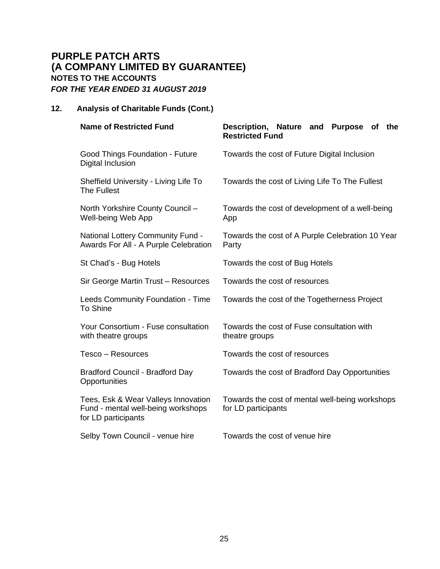# **12. Analysis of Charitable Funds (Cont.)**

| <b>Name of Restricted Fund</b>                                                                   | Description, Nature and Purpose of the<br><b>Restricted Fund</b>       |  |  |  |
|--------------------------------------------------------------------------------------------------|------------------------------------------------------------------------|--|--|--|
| Good Things Foundation - Future<br>Digital Inclusion                                             | Towards the cost of Future Digital Inclusion                           |  |  |  |
| Sheffield University - Living Life To<br>The Fullest                                             | Towards the cost of Living Life To The Fullest                         |  |  |  |
| North Yorkshire County Council -<br>Well-being Web App                                           | Towards the cost of development of a well-being<br>App                 |  |  |  |
| <b>National Lottery Community Fund -</b><br>Awards For All - A Purple Celebration                | Towards the cost of A Purple Celebration 10 Year<br>Party              |  |  |  |
| St Chad's - Bug Hotels                                                                           | Towards the cost of Bug Hotels                                         |  |  |  |
| Sir George Martin Trust - Resources                                                              | Towards the cost of resources                                          |  |  |  |
| Leeds Community Foundation - Time<br>To Shine                                                    | Towards the cost of the Togetherness Project                           |  |  |  |
| Your Consortium - Fuse consultation<br>with theatre groups                                       | Towards the cost of Fuse consultation with<br>theatre groups           |  |  |  |
| Tesco - Resources                                                                                | Towards the cost of resources                                          |  |  |  |
| Bradford Council - Bradford Day<br>Opportunities                                                 | Towards the cost of Bradford Day Opportunities                         |  |  |  |
| Tees, Esk & Wear Valleys Innovation<br>Fund - mental well-being workshops<br>for LD participants | Towards the cost of mental well-being workshops<br>for LD participants |  |  |  |
| Selby Town Council - venue hire                                                                  | Towards the cost of venue hire                                         |  |  |  |